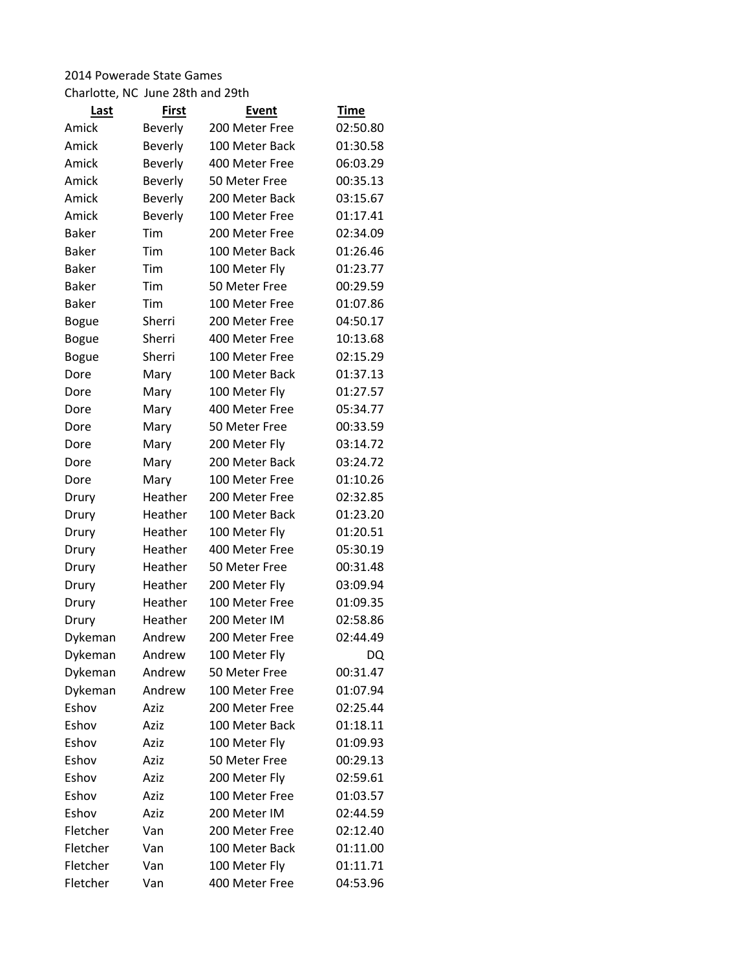## 2014 Powerade State Games

Charlotte, NC June 28th and 29th

| Last         | <b>First</b> | Event          | <b>Time</b> |
|--------------|--------------|----------------|-------------|
| Amick        | Beverly      | 200 Meter Free | 02:50.80    |
| Amick        | Beverly      | 100 Meter Back | 01:30.58    |
| Amick        | Beverly      | 400 Meter Free | 06:03.29    |
| Amick        | Beverly      | 50 Meter Free  | 00:35.13    |
| Amick        | Beverly      | 200 Meter Back | 03:15.67    |
| Amick        | Beverly      | 100 Meter Free | 01:17.41    |
| <b>Baker</b> | Tim          | 200 Meter Free | 02:34.09    |
| Baker        | Tim          | 100 Meter Back | 01:26.46    |
| Baker        | Tim          | 100 Meter Fly  | 01:23.77    |
| Baker        | Tim          | 50 Meter Free  | 00:29.59    |
| Baker        | Tim          | 100 Meter Free | 01:07.86    |
| Bogue        | Sherri       | 200 Meter Free | 04:50.17    |
| <b>Bogue</b> | Sherri       | 400 Meter Free | 10:13.68    |
| <b>Bogue</b> | Sherri       | 100 Meter Free | 02:15.29    |
| Dore         | Mary         | 100 Meter Back | 01:37.13    |
| Dore         | Mary         | 100 Meter Fly  | 01:27.57    |
| Dore         | Mary         | 400 Meter Free | 05:34.77    |
| Dore         | Mary         | 50 Meter Free  | 00:33.59    |
| Dore         | Mary         | 200 Meter Fly  | 03:14.72    |
| Dore         | Mary         | 200 Meter Back | 03:24.72    |
| Dore         | Mary         | 100 Meter Free | 01:10.26    |
| Drury        | Heather      | 200 Meter Free | 02:32.85    |
| Drury        | Heather      | 100 Meter Back | 01:23.20    |
| Drury        | Heather      | 100 Meter Fly  | 01:20.51    |
| Drury        | Heather      | 400 Meter Free | 05:30.19    |
| Drury        | Heather      | 50 Meter Free  | 00:31.48    |
| Drury        | Heather      | 200 Meter Fly  | 03:09.94    |
| Drury        | Heather      | 100 Meter Free | 01:09.35    |
| Drury        | Heather      | 200 Meter IM   | 02:58.86    |
| Dykeman      | Andrew       | 200 Meter Free | 02:44.49    |
| Dykeman      | Andrew       | 100 Meter Fly  | DQ          |
| Dykeman      | Andrew       | 50 Meter Free  | 00:31.47    |
| Dykeman      | Andrew       | 100 Meter Free | 01:07.94    |
| Eshov        | Aziz         | 200 Meter Free | 02:25.44    |
| Eshov        | Aziz         | 100 Meter Back | 01:18.11    |
| Eshov        | Aziz         | 100 Meter Fly  | 01:09.93    |
| Eshov        | Aziz         | 50 Meter Free  | 00:29.13    |
| Eshov        | Aziz         | 200 Meter Fly  | 02:59.61    |
| Eshov        | Aziz         | 100 Meter Free | 01:03.57    |
| Eshov        | Aziz         | 200 Meter IM   | 02:44.59    |
| Fletcher     | Van          | 200 Meter Free | 02:12.40    |
| Fletcher     | Van          | 100 Meter Back | 01:11.00    |
| Fletcher     | Van          | 100 Meter Fly  | 01:11.71    |
| Fletcher     | Van          | 400 Meter Free | 04:53.96    |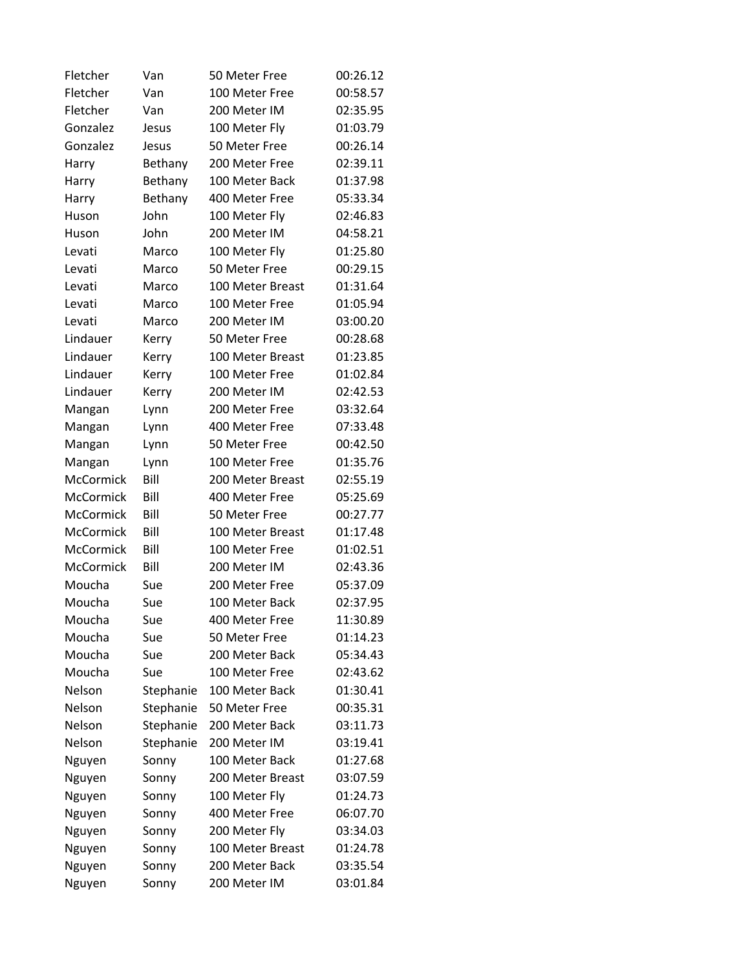| Fletcher         | Van       | 50 Meter Free    | 00:26.12 |
|------------------|-----------|------------------|----------|
| Fletcher         | Van       | 100 Meter Free   | 00:58.57 |
| Fletcher         | Van       | 200 Meter IM     | 02:35.95 |
| Gonzalez         | Jesus     | 100 Meter Fly    | 01:03.79 |
| Gonzalez         | Jesus     | 50 Meter Free    | 00:26.14 |
| Harry            | Bethany   | 200 Meter Free   | 02:39.11 |
| Harry            | Bethany   | 100 Meter Back   | 01:37.98 |
| Harry            | Bethany   | 400 Meter Free   | 05:33.34 |
| Huson            | John      | 100 Meter Fly    | 02:46.83 |
| Huson            | John      | 200 Meter IM     | 04:58.21 |
| Levati           | Marco     | 100 Meter Fly    | 01:25.80 |
| Levati           | Marco     | 50 Meter Free    | 00:29.15 |
| Levati           | Marco     | 100 Meter Breast | 01:31.64 |
| Levati           | Marco     | 100 Meter Free   | 01:05.94 |
| Levati           | Marco     | 200 Meter IM     | 03:00.20 |
| Lindauer         | Kerry     | 50 Meter Free    | 00:28.68 |
| Lindauer         | Kerry     | 100 Meter Breast | 01:23.85 |
| Lindauer         | Kerry     | 100 Meter Free   | 01:02.84 |
| Lindauer         | Kerry     | 200 Meter IM     | 02:42.53 |
| Mangan           | Lynn      | 200 Meter Free   | 03:32.64 |
| Mangan           | Lynn      | 400 Meter Free   | 07:33.48 |
| Mangan           | Lynn      | 50 Meter Free    | 00:42.50 |
| Mangan           | Lynn      | 100 Meter Free   | 01:35.76 |
| McCormick        | Bill      | 200 Meter Breast | 02:55.19 |
| McCormick        | Bill      | 400 Meter Free   | 05:25.69 |
| <b>McCormick</b> | Bill      | 50 Meter Free    | 00:27.77 |
| <b>McCormick</b> | Bill      | 100 Meter Breast | 01:17.48 |
| McCormick        | Bill      | 100 Meter Free   | 01:02.51 |
| <b>McCormick</b> | Bill      | 200 Meter IM     | 02:43.36 |
| Moucha           | Sue       | 200 Meter Free   | 05:37.09 |
| Moucha           | Sue       | 100 Meter Back   | 02:37.95 |
| Moucha           | Sue       | 400 Meter Free   | 11:30.89 |
| Moucha           | Sue       | 50 Meter Free    | 01:14.23 |
| Moucha           | Sue       | 200 Meter Back   | 05:34.43 |
| Moucha           | Sue       | 100 Meter Free   | 02:43.62 |
| Nelson           | Stephanie | 100 Meter Back   | 01:30.41 |
| Nelson           | Stephanie | 50 Meter Free    | 00:35.31 |
| Nelson           | Stephanie | 200 Meter Back   | 03:11.73 |
| Nelson           | Stephanie | 200 Meter IM     | 03:19.41 |
| Nguyen           | Sonny     | 100 Meter Back   | 01:27.68 |
| Nguyen           | Sonny     | 200 Meter Breast | 03:07.59 |
| Nguyen           | Sonny     | 100 Meter Fly    | 01:24.73 |
| Nguyen           | Sonny     | 400 Meter Free   | 06:07.70 |
| Nguyen           | Sonny     | 200 Meter Fly    | 03:34.03 |
| Nguyen           | Sonny     | 100 Meter Breast | 01:24.78 |
| Nguyen           | Sonny     | 200 Meter Back   | 03:35.54 |
| Nguyen           | Sonny     | 200 Meter IM     | 03:01.84 |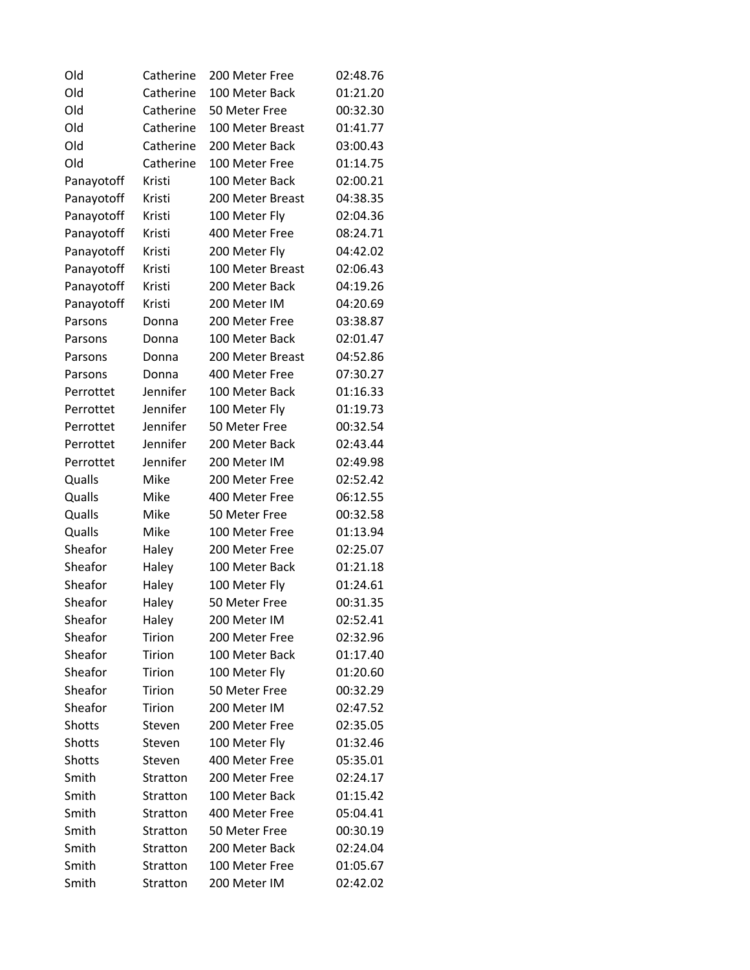| Old        | Catherine | 200 Meter Free   | 02:48.76 |
|------------|-----------|------------------|----------|
| Old        | Catherine | 100 Meter Back   | 01:21.20 |
| Old        | Catherine | 50 Meter Free    | 00:32.30 |
| Old        | Catherine | 100 Meter Breast | 01:41.77 |
| Old        | Catherine | 200 Meter Back   | 03:00.43 |
| Old        | Catherine | 100 Meter Free   | 01:14.75 |
| Panayotoff | Kristi    | 100 Meter Back   | 02:00.21 |
| Panayotoff | Kristi    | 200 Meter Breast | 04:38.35 |
| Panayotoff | Kristi    | 100 Meter Fly    | 02:04.36 |
| Panayotoff | Kristi    | 400 Meter Free   | 08:24.71 |
| Panayotoff | Kristi    | 200 Meter Fly    | 04:42.02 |
| Panayotoff | Kristi    | 100 Meter Breast | 02:06.43 |
| Panayotoff | Kristi    | 200 Meter Back   | 04:19.26 |
| Panayotoff | Kristi    | 200 Meter IM     | 04:20.69 |
| Parsons    | Donna     | 200 Meter Free   | 03:38.87 |
| Parsons    | Donna     | 100 Meter Back   | 02:01.47 |
| Parsons    | Donna     | 200 Meter Breast | 04:52.86 |
| Parsons    | Donna     | 400 Meter Free   | 07:30.27 |
| Perrottet  | Jennifer  | 100 Meter Back   | 01:16.33 |
| Perrottet  | Jennifer  | 100 Meter Fly    | 01:19.73 |
| Perrottet  | Jennifer  | 50 Meter Free    | 00:32.54 |
| Perrottet  | Jennifer  | 200 Meter Back   | 02:43.44 |
| Perrottet  | Jennifer  | 200 Meter IM     | 02:49.98 |
| Qualls     | Mike      | 200 Meter Free   | 02:52.42 |
| Qualls     | Mike      | 400 Meter Free   | 06:12.55 |
| Qualls     | Mike      | 50 Meter Free    | 00:32.58 |
| Qualls     | Mike      | 100 Meter Free   | 01:13.94 |
| Sheafor    | Haley     | 200 Meter Free   | 02:25.07 |
| Sheafor    | Haley     | 100 Meter Back   | 01:21.18 |
| Sheafor    | Haley     | 100 Meter Fly    | 01:24.61 |
| Sheafor    | Haley     | 50 Meter Free    | 00:31.35 |
| Sheafor    | Haley     | 200 Meter IM     | 02:52.41 |
| Sheafor    | Tirion    | 200 Meter Free   | 02:32.96 |
| Sheafor    | Tirion    | 100 Meter Back   | 01:17.40 |
| Sheafor    | Tirion    | 100 Meter Fly    | 01:20.60 |
| Sheafor    | Tirion    | 50 Meter Free    | 00:32.29 |
| Sheafor    | Tirion    | 200 Meter IM     | 02:47.52 |
| Shotts     | Steven    | 200 Meter Free   | 02:35.05 |
| Shotts     | Steven    | 100 Meter Fly    | 01:32.46 |
| Shotts     | Steven    | 400 Meter Free   | 05:35.01 |
| Smith      | Stratton  | 200 Meter Free   | 02:24.17 |
| Smith      | Stratton  | 100 Meter Back   | 01:15.42 |
| Smith      | Stratton  | 400 Meter Free   | 05:04.41 |
| Smith      | Stratton  | 50 Meter Free    | 00:30.19 |
| Smith      | Stratton  | 200 Meter Back   | 02:24.04 |
| Smith      | Stratton  | 100 Meter Free   | 01:05.67 |
| Smith      | Stratton  | 200 Meter IM     | 02:42.02 |